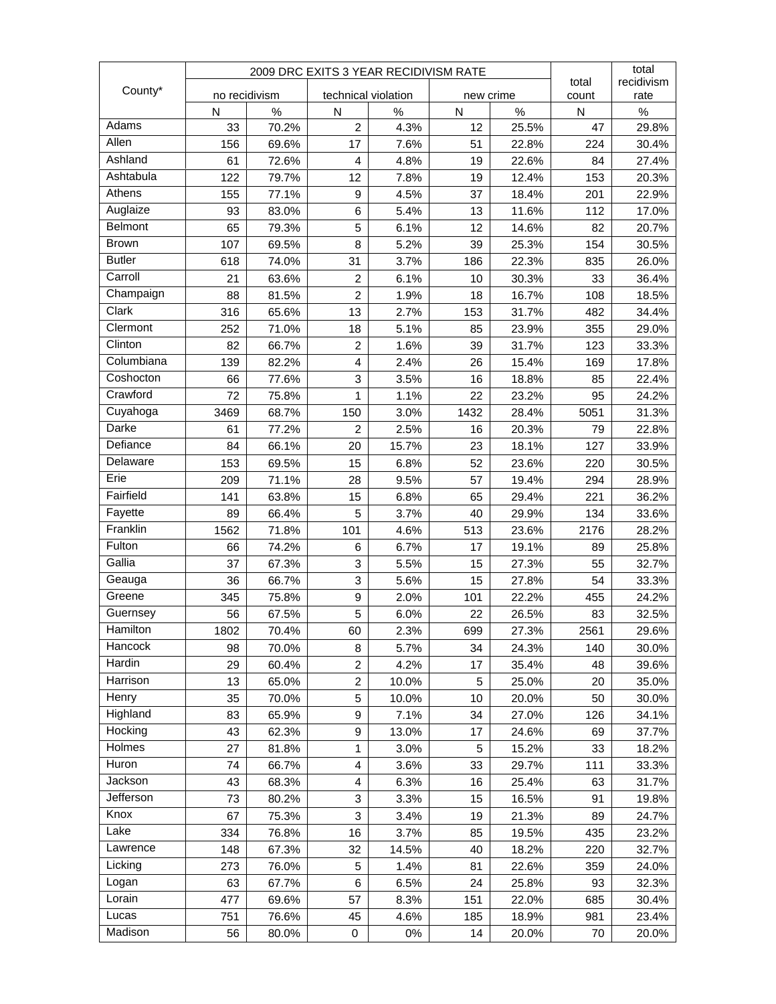|                 | 2009 DRC EXITS 3 YEAR RECIDIVISM RATE |       |                     |       |           |       |                | total        |
|-----------------|---------------------------------------|-------|---------------------|-------|-----------|-------|----------------|--------------|
| County*         | no recidivism                         |       | technical violation |       | new crime |       | total<br>count | recidivism   |
|                 | N                                     | %     | N                   | %     | N         | %     | N              | rate<br>$\%$ |
| Adams           | 33                                    | 70.2% | $\overline{2}$      | 4.3%  | 12        | 25.5% | 47             | 29.8%        |
| Allen           | 156                                   | 69.6% | 17                  | 7.6%  | 51        | 22.8% | 224            | 30.4%        |
| Ashland         | 61                                    | 72.6% | 4                   | 4.8%  | 19        | 22.6% | 84             | 27.4%        |
| Ashtabula       | 122                                   | 79.7% | 12                  | 7.8%  | 19        | 12.4% | 153            | 20.3%        |
| Athens          | 155                                   | 77.1% | 9                   | 4.5%  | 37        | 18.4% | 201            | 22.9%        |
| Auglaize        | 93                                    | 83.0% | 6                   | 5.4%  | 13        | 11.6% | 112            | 17.0%        |
| Belmont         | 65                                    | 79.3% | 5                   | 6.1%  | 12        | 14.6% | 82             | 20.7%        |
| <b>Brown</b>    | 107                                   | 69.5% | 8                   | 5.2%  | 39        | 25.3% | 154            | 30.5%        |
| <b>Butler</b>   | 618                                   | 74.0% | 31                  | 3.7%  | 186       | 22.3% | 835            | 26.0%        |
| Carroll         | 21                                    | 63.6% | $\overline{c}$      | 6.1%  | 10        | 30.3% | 33             | 36.4%        |
| Champaign       | 88                                    | 81.5% | $\overline{c}$      | 1.9%  | 18        | 16.7% | 108            | 18.5%        |
| Clark           | 316                                   | 65.6% | 13                  | 2.7%  | 153       | 31.7% | 482            | 34.4%        |
| Clermont        | 252                                   | 71.0% | 18                  | 5.1%  | 85        | 23.9% | 355            | 29.0%        |
| Clinton         | 82                                    | 66.7% | 2                   | 1.6%  | 39        | 31.7% | 123            | 33.3%        |
| Columbiana      | 139                                   | 82.2% | 4                   | 2.4%  | 26        | 15.4% | 169            | 17.8%        |
| Coshocton       | 66                                    | 77.6% | 3                   | 3.5%  | 16        | 18.8% | 85             | 22.4%        |
| Crawford        | 72                                    | 75.8% | 1                   | 1.1%  | 22        | 23.2% | 95             | 24.2%        |
| Cuyahoga        | 3469                                  | 68.7% | 150                 | 3.0%  | 1432      | 28.4% | 5051           | 31.3%        |
| Darke           | 61                                    | 77.2% | $\overline{2}$      | 2.5%  | 16        | 20.3% | 79             | 22.8%        |
| Defiance        | 84                                    | 66.1% | 20                  | 15.7% | 23        | 18.1% | 127            | 33.9%        |
| Delaware        | 153                                   | 69.5% | 15                  | 6.8%  | 52        | 23.6% | 220            | 30.5%        |
| Erie            | 209                                   | 71.1% | 28                  | 9.5%  | 57        | 19.4% | 294            | 28.9%        |
| Fairfield       | 141                                   | 63.8% | 15                  | 6.8%  | 65        | 29.4% | 221            | 36.2%        |
| Fayette         | 89                                    | 66.4% | 5                   | 3.7%  | 40        | 29.9% | 134            | 33.6%        |
| Franklin        | 1562                                  | 71.8% | 101                 | 4.6%  | 513       | 23.6% | 2176           | 28.2%        |
| Fulton          | 66                                    | 74.2% | 6                   | 6.7%  | 17        | 19.1% | 89             | 25.8%        |
| Gallia          | 37                                    | 67.3% | 3                   | 5.5%  | 15        | 27.3% | 55             | 32.7%        |
| Geauga          | 36                                    | 66.7% | 3                   | 5.6%  | 15        | 27.8% | 54             | 33.3%        |
| Greene          | 345                                   | 75.8% | 9                   | 2.0%  | 101       | 22.2% | 455            | 24.2%        |
| Guernsey        | 56                                    | 67.5% | 5                   | 6.0%  | 22        | 26.5% | 83             | 32.5%        |
| <b>Hamilton</b> | 1802                                  | 70.4% | 60                  | 2.3%  | 699       | 27.3% | 2561           | 29.6%        |
| Hancock         | 98                                    | 70.0% | 8                   | 5.7%  | 34        | 24.3% | 140            | 30.0%        |
| Hardin          | 29                                    | 60.4% | 2                   | 4.2%  | 17        | 35.4% | 48             | 39.6%        |
| Harrison        | 13                                    | 65.0% | $\overline{c}$      | 10.0% | 5         | 25.0% | 20             | 35.0%        |
| Henry           | 35                                    | 70.0% | 5                   | 10.0% | 10        | 20.0% | 50             | 30.0%        |
| Highland        | 83                                    | 65.9% | 9                   | 7.1%  | 34        | 27.0% | 126            | 34.1%        |
| Hocking         | 43                                    | 62.3% | 9                   | 13.0% | 17        | 24.6% | 69             | 37.7%        |
| Holmes          | 27                                    | 81.8% | 1                   | 3.0%  | 5         | 15.2% | 33             | 18.2%        |
| Huron           | 74                                    | 66.7% | 4                   | 3.6%  | 33        | 29.7% | 111            | 33.3%        |
| Jackson         | 43                                    | 68.3% | 4                   | 6.3%  | 16        | 25.4% | 63             | 31.7%        |
| Jefferson       | 73                                    | 80.2% | 3                   | 3.3%  | 15        | 16.5% | 91             | 19.8%        |
| Knox            | 67                                    | 75.3% | 3                   | 3.4%  | 19        | 21.3% | 89             | 24.7%        |
| Lake            | 334                                   | 76.8% | 16                  | 3.7%  | 85        | 19.5% | 435            | 23.2%        |
| Lawrence        | 148                                   | 67.3% | 32                  | 14.5% | 40        | 18.2% | 220            | 32.7%        |
| Licking         | 273                                   | 76.0% | 5                   | 1.4%  | 81        | 22.6% | 359            | 24.0%        |
| Logan           | 63                                    | 67.7% | 6                   | 6.5%  | 24        | 25.8% | 93             | 32.3%        |
| Lorain          | 477                                   | 69.6% | 57                  | 8.3%  | 151       | 22.0% | 685            | 30.4%        |
| Lucas           | 751                                   | 76.6% | 45                  | 4.6%  | 185       | 18.9% | 981            | 23.4%        |
| Madison         | 56                                    | 80.0% | 0                   | 0%    | 14        | 20.0% | 70             | 20.0%        |